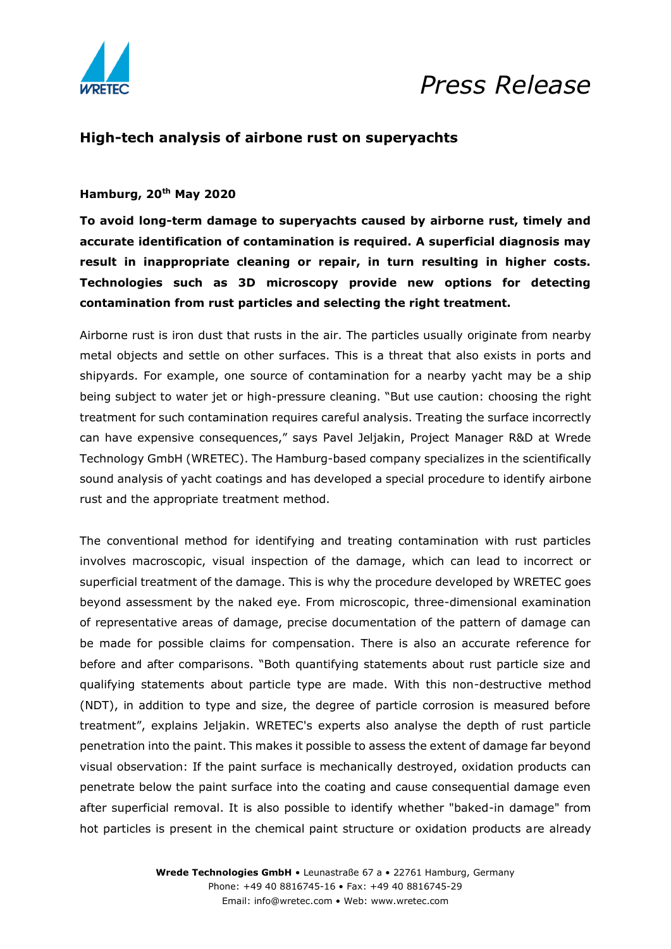

## *Press Release*

### **High-tech analysis of airbone rust on superyachts**

### **Hamburg, 20th May 2020**

**To avoid long-term damage to superyachts caused by airborne rust, timely and accurate identification of contamination is required. A superficial diagnosis may result in inappropriate cleaning or repair, in turn resulting in higher costs. Technologies such as 3D microscopy provide new options for detecting contamination from rust particles and selecting the right treatment.**

Airborne rust is iron dust that rusts in the air. The particles usually originate from nearby metal objects and settle on other surfaces. This is a threat that also exists in ports and shipyards. For example, one source of contamination for a nearby yacht may be a ship being subject to water jet or high-pressure cleaning. "But use caution: choosing the right treatment for such contamination requires careful analysis. Treating the surface incorrectly can have expensive consequences," says Pavel Jeljakin, Project Manager R&D at Wrede Technology GmbH (WRETEC). The Hamburg-based company specializes in the scientifically sound analysis of yacht coatings and has developed a special procedure to identify airbone rust and the appropriate treatment method.

The conventional method for identifying and treating contamination with rust particles involves macroscopic, visual inspection of the damage, which can lead to incorrect or superficial treatment of the damage. This is why the procedure developed by WRETEC goes beyond assessment by the naked eye. From microscopic, three-dimensional examination of representative areas of damage, precise documentation of the pattern of damage can be made for possible claims for compensation. There is also an accurate reference for before and after comparisons. "Both quantifying statements about rust particle size and qualifying statements about particle type are made. With this non-destructive method (NDT), in addition to type and size, the degree of particle corrosion is measured before treatment", explains Jeljakin. WRETEC's experts also analyse the depth of rust particle penetration into the paint. This makes it possible to assess the extent of damage far beyond visual observation: If the paint surface is mechanically destroyed, oxidation products can penetrate below the paint surface into the coating and cause consequential damage even after superficial removal. It is also possible to identify whether "baked-in damage" from hot particles is present in the chemical paint structure or oxidation products are already